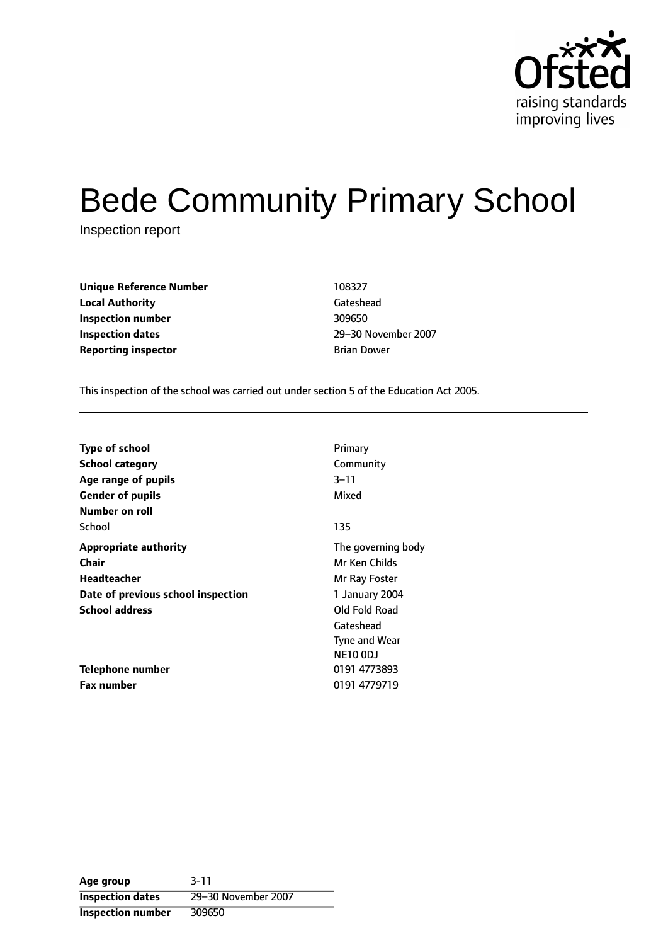

# Bede Community Primary School

Inspection report

| <b>Unique Reference Number</b> | 108327             |
|--------------------------------|--------------------|
| <b>Local Authority</b>         | Gateshead          |
| Inspection number              | 309650             |
| Inspection dates               | 29-30 Nover        |
| <b>Reporting inspector</b>     | <b>Brian Dower</b> |

**Local Authority** Gateshead **Inspection dates** 2930 November 2007

This inspection of the school was carried out under section 5 of the Education Act 2005.

| Type of school                     | Primary            |
|------------------------------------|--------------------|
| <b>School category</b>             | Community          |
| Age range of pupils                | $3 - 11$           |
| <b>Gender of pupils</b>            | Mixed              |
| Number on roll                     |                    |
| School                             | 135                |
| <b>Appropriate authority</b>       | The governing body |
| Chair                              | Mr Ken Childs      |
| <b>Headteacher</b>                 | Mr Ray Foster      |
| Date of previous school inspection | 1 January 2004     |
| <b>School address</b>              | Old Fold Road      |
|                                    | Gateshead          |
|                                    | Tyne and Wear      |
|                                    | <b>NE10 0DJ</b>    |
| Telephone number                   | 0191 4773893       |
| <b>Fax number</b>                  | 0191 4779719       |

**Age group** 3-11 **Inspection dates** 29-30 November 2007 **Inspection number** 309650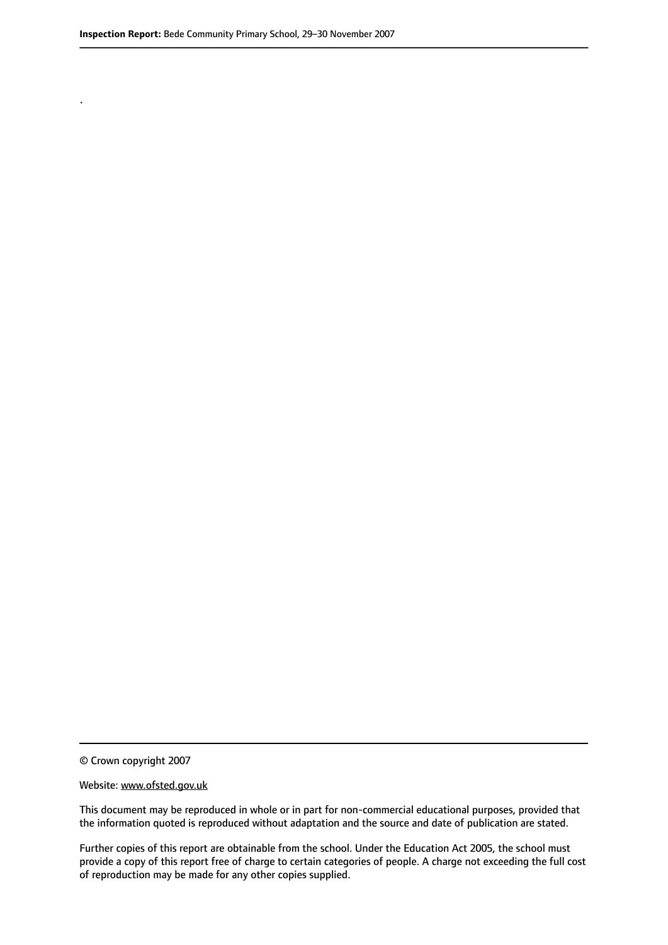.

© Crown copyright 2007

#### Website: www.ofsted.gov.uk

This document may be reproduced in whole or in part for non-commercial educational purposes, provided that the information quoted is reproduced without adaptation and the source and date of publication are stated.

Further copies of this report are obtainable from the school. Under the Education Act 2005, the school must provide a copy of this report free of charge to certain categories of people. A charge not exceeding the full cost of reproduction may be made for any other copies supplied.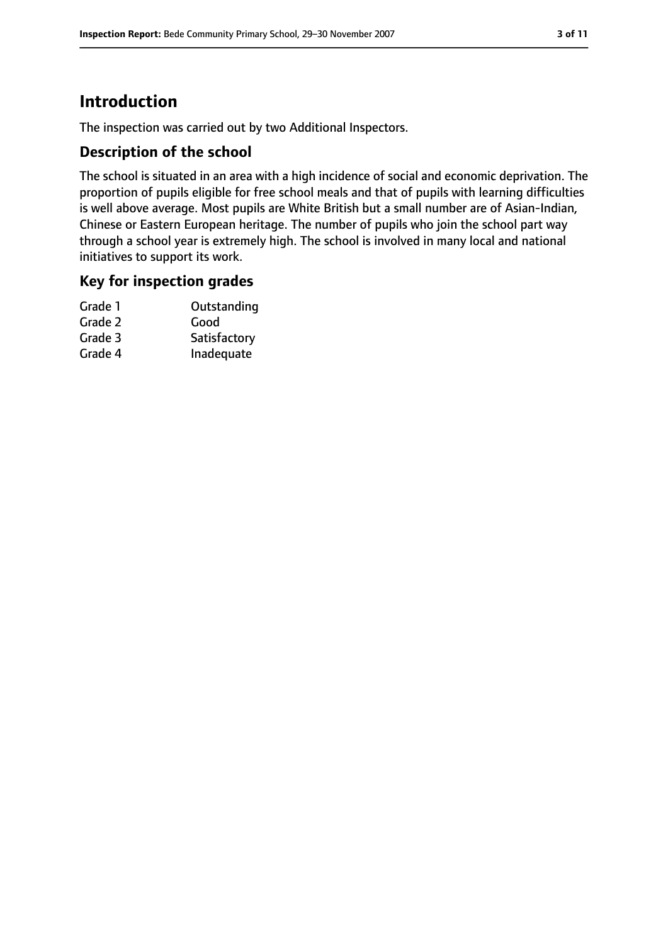# **Introduction**

The inspection was carried out by two Additional Inspectors.

## **Description of the school**

The school is situated in an area with a high incidence of social and economic deprivation. The proportion of pupils eligible for free school meals and that of pupils with learning difficulties is well above average. Most pupils are White British but a small number are of Asian-Indian, Chinese or Eastern European heritage. The number of pupils who join the school part way through a school year is extremely high. The school is involved in many local and national initiatives to support its work.

#### **Key for inspection grades**

| Grade 1 | Outstanding  |
|---------|--------------|
| Grade 2 | Good         |
| Grade 3 | Satisfactory |
| Grade 4 | Inadequate   |
|         |              |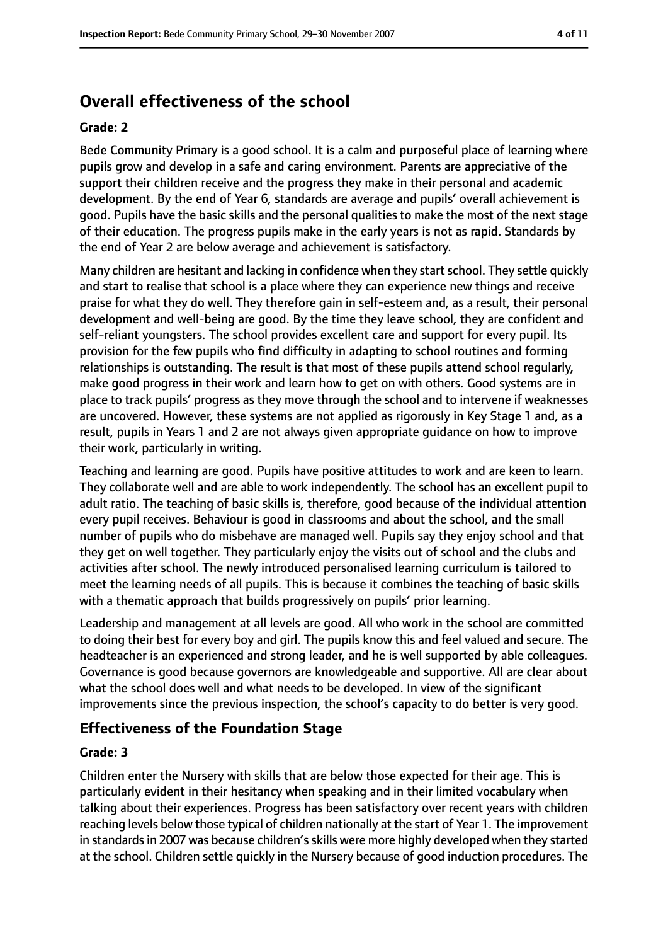# **Overall effectiveness of the school**

#### **Grade: 2**

Bede Community Primary is a good school. It is a calm and purposeful place of learning where pupils grow and develop in a safe and caring environment. Parents are appreciative of the support their children receive and the progress they make in their personal and academic development. By the end of Year 6, standards are average and pupils' overall achievement is good. Pupils have the basic skills and the personal qualities to make the most of the next stage of their education. The progress pupils make in the early years is not as rapid. Standards by the end of Year 2 are below average and achievement is satisfactory.

Many children are hesitant and lacking in confidence when they start school. They settle quickly and start to realise that school is a place where they can experience new things and receive praise for what they do well. They therefore gain in self-esteem and, as a result, their personal development and well-being are good. By the time they leave school, they are confident and self-reliant youngsters. The school provides excellent care and support for every pupil. Its provision for the few pupils who find difficulty in adapting to school routines and forming relationships is outstanding. The result is that most of these pupils attend school regularly, make good progress in their work and learn how to get on with others. Good systems are in place to track pupils' progress as they move through the school and to intervene if weaknesses are uncovered. However, these systems are not applied as rigorously in Key Stage 1 and, as a result, pupils in Years 1 and 2 are not always given appropriate guidance on how to improve their work, particularly in writing.

Teaching and learning are good. Pupils have positive attitudes to work and are keen to learn. They collaborate well and are able to work independently. The school has an excellent pupil to adult ratio. The teaching of basic skills is, therefore, good because of the individual attention every pupil receives. Behaviour is good in classrooms and about the school, and the small number of pupils who do misbehave are managed well. Pupils say they enjoy school and that they get on well together. They particularly enjoy the visits out of school and the clubs and activities after school. The newly introduced personalised learning curriculum is tailored to meet the learning needs of all pupils. This is because it combines the teaching of basic skills with a thematic approach that builds progressively on pupils' prior learning.

Leadership and management at all levels are good. All who work in the school are committed to doing their best for every boy and girl. The pupils know this and feel valued and secure. The headteacher is an experienced and strong leader, and he is well supported by able colleagues. Governance is good because governors are knowledgeable and supportive. All are clear about what the school does well and what needs to be developed. In view of the significant improvements since the previous inspection, the school's capacity to do better is very good.

#### **Effectiveness of the Foundation Stage**

#### **Grade: 3**

Children enter the Nursery with skills that are below those expected for their age. This is particularly evident in their hesitancy when speaking and in their limited vocabulary when talking about their experiences. Progress has been satisfactory over recent years with children reaching levels below those typical of children nationally at the start of Year 1. The improvement in standards in 2007 was because children's skills were more highly developed when they started at the school. Children settle quickly in the Nursery because of good induction procedures. The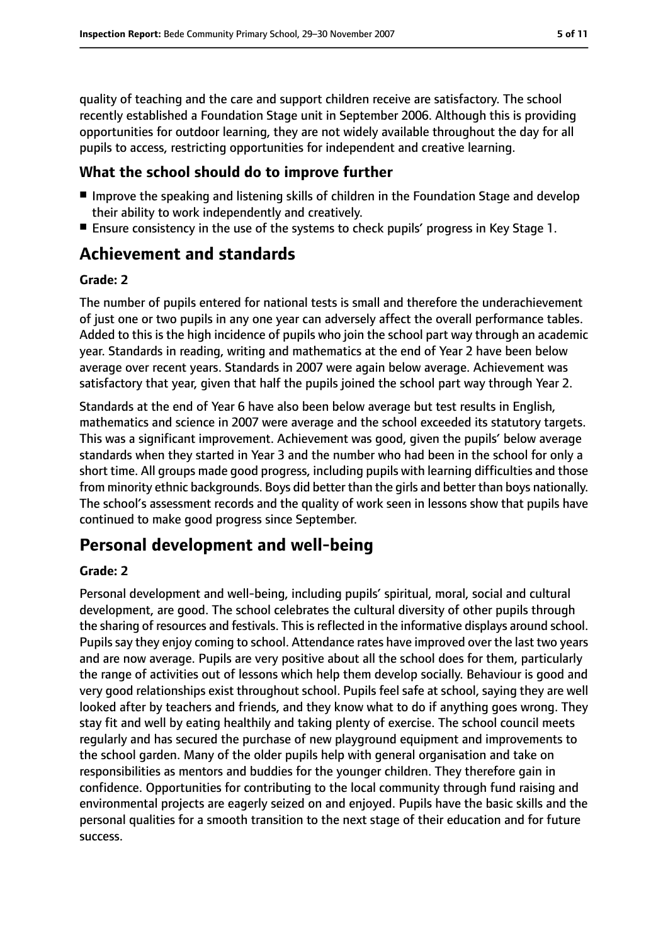quality of teaching and the care and support children receive are satisfactory. The school recently established a Foundation Stage unit in September 2006. Although this is providing opportunities for outdoor learning, they are not widely available throughout the day for all pupils to access, restricting opportunities for independent and creative learning.

#### **What the school should do to improve further**

- Improve the speaking and listening skills of children in the Foundation Stage and develop their ability to work independently and creatively.
- Ensure consistency in the use of the systems to check pupils' progress in Key Stage 1.

# **Achievement and standards**

#### **Grade: 2**

The number of pupils entered for national tests is small and therefore the underachievement of just one or two pupils in any one year can adversely affect the overall performance tables. Added to this is the high incidence of pupils who join the school part way through an academic year. Standards in reading, writing and mathematics at the end of Year 2 have been below average over recent years. Standards in 2007 were again below average. Achievement was satisfactory that year, given that half the pupils joined the school part way through Year 2.

Standards at the end of Year 6 have also been below average but test results in English, mathematics and science in 2007 were average and the school exceeded its statutory targets. This was a significant improvement. Achievement was good, given the pupils' below average standards when they started in Year 3 and the number who had been in the school for only a short time. All groups made good progress, including pupils with learning difficulties and those from minority ethnic backgrounds. Boys did better than the girls and better than boys nationally. The school's assessment records and the quality of work seen in lessons show that pupils have continued to make good progress since September.

# **Personal development and well-being**

#### **Grade: 2**

Personal development and well-being, including pupils' spiritual, moral, social and cultural development, are good. The school celebrates the cultural diversity of other pupils through the sharing of resources and festivals. This is reflected in the informative displays around school. Pupils say they enjoy coming to school. Attendance rates have improved over the last two years and are now average. Pupils are very positive about all the school does for them, particularly the range of activities out of lessons which help them develop socially. Behaviour is good and very good relationships exist throughout school. Pupils feel safe at school, saying they are well looked after by teachers and friends, and they know what to do if anything goes wrong. They stay fit and well by eating healthily and taking plenty of exercise. The school council meets regularly and has secured the purchase of new playground equipment and improvements to the school garden. Many of the older pupils help with general organisation and take on responsibilities as mentors and buddies for the younger children. They therefore gain in confidence. Opportunities for contributing to the local community through fund raising and environmental projects are eagerly seized on and enjoyed. Pupils have the basic skills and the personal qualities for a smooth transition to the next stage of their education and for future success.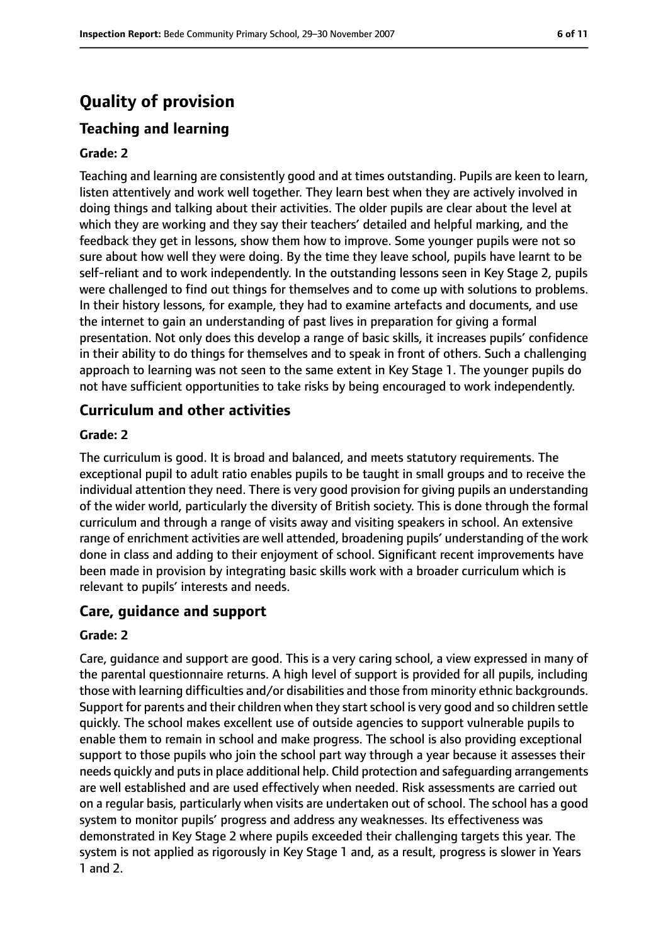# **Quality of provision**

# **Teaching and learning**

#### **Grade: 2**

Teaching and learning are consistently good and at times outstanding. Pupils are keen to learn, listen attentively and work well together. They learn best when they are actively involved in doing things and talking about their activities. The older pupils are clear about the level at which they are working and they say their teachers' detailed and helpful marking, and the feedback they get in lessons, show them how to improve. Some younger pupils were not so sure about how well they were doing. By the time they leave school, pupils have learnt to be self-reliant and to work independently. In the outstanding lessons seen in Key Stage 2, pupils were challenged to find out things for themselves and to come up with solutions to problems. In their history lessons, for example, they had to examine artefacts and documents, and use the internet to gain an understanding of past lives in preparation for giving a formal presentation. Not only does this develop a range of basic skills, it increases pupils' confidence in their ability to do things for themselves and to speak in front of others. Such a challenging approach to learning was not seen to the same extent in Key Stage 1. The younger pupils do not have sufficient opportunities to take risks by being encouraged to work independently.

## **Curriculum and other activities**

#### **Grade: 2**

The curriculum is good. It is broad and balanced, and meets statutory requirements. The exceptional pupil to adult ratio enables pupils to be taught in small groups and to receive the individual attention they need. There is very good provision for giving pupils an understanding of the wider world, particularly the diversity of British society. This is done through the formal curriculum and through a range of visits away and visiting speakers in school. An extensive range of enrichment activities are well attended, broadening pupils' understanding of the work done in class and adding to their enjoyment of school. Significant recent improvements have been made in provision by integrating basic skills work with a broader curriculum which is relevant to pupils' interests and needs.

#### **Care, guidance and support**

#### **Grade: 2**

Care, guidance and support are good. This is a very caring school, a view expressed in many of the parental questionnaire returns. A high level of support is provided for all pupils, including those with learning difficulties and/or disabilities and those from minority ethnic backgrounds. Support for parents and their children when they start school is very good and so children settle quickly. The school makes excellent use of outside agencies to support vulnerable pupils to enable them to remain in school and make progress. The school is also providing exceptional support to those pupils who join the school part way through a year because it assesses their needs quickly and puts in place additional help. Child protection and safequarding arrangements are well established and are used effectively when needed. Risk assessments are carried out on a regular basis, particularly when visits are undertaken out of school. The school has a good system to monitor pupils' progress and address any weaknesses. Its effectiveness was demonstrated in Key Stage 2 where pupils exceeded their challenging targets this year. The system is not applied as rigorously in Key Stage 1 and, as a result, progress is slower in Years 1 and 2.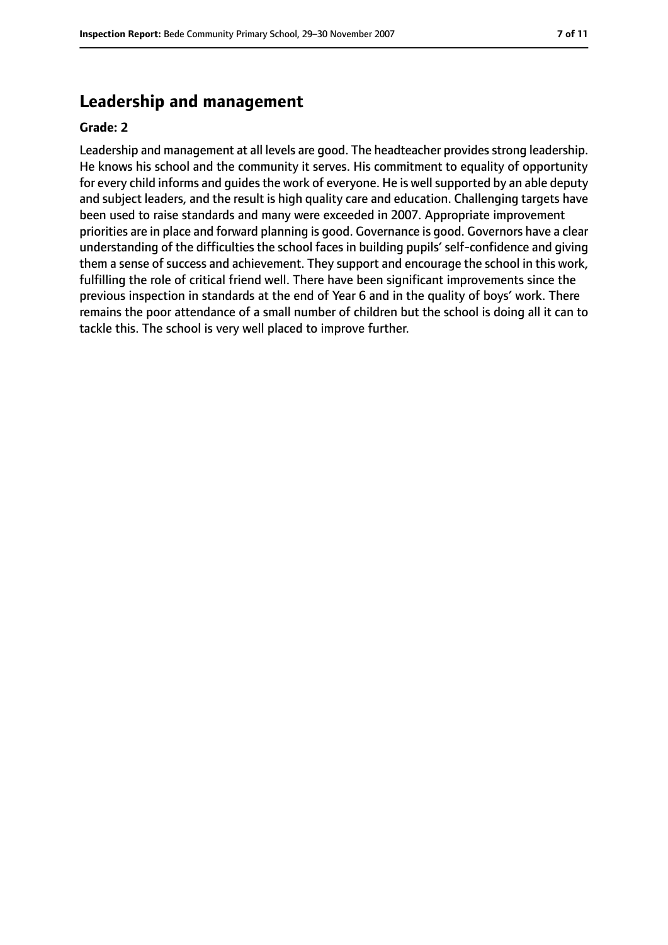# **Leadership and management**

#### **Grade: 2**

Leadership and management at all levels are good. The headteacher provides strong leadership. He knows his school and the community it serves. His commitment to equality of opportunity for every child informs and quides the work of everyone. He is well supported by an able deputy and subject leaders, and the result is high quality care and education. Challenging targets have been used to raise standards and many were exceeded in 2007. Appropriate improvement priorities are in place and forward planning is good. Governance is good. Governors have a clear understanding of the difficulties the school faces in building pupils' self-confidence and giving them a sense of success and achievement. They support and encourage the school in this work, fulfilling the role of critical friend well. There have been significant improvements since the previous inspection in standards at the end of Year 6 and in the quality of boys' work. There remains the poor attendance of a small number of children but the school is doing all it can to tackle this. The school is very well placed to improve further.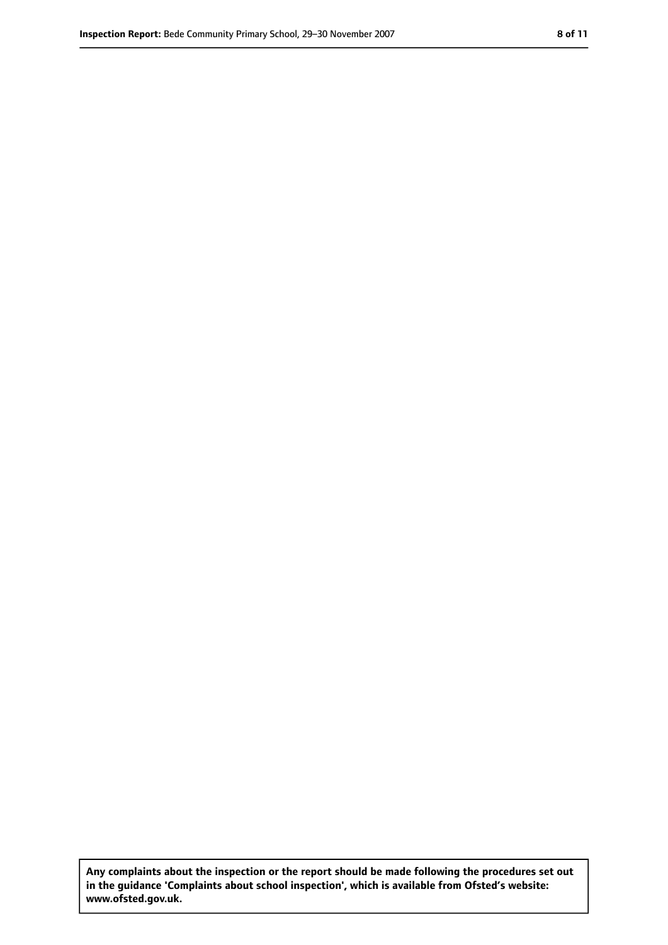**Any complaints about the inspection or the report should be made following the procedures set out in the guidance 'Complaints about school inspection', which is available from Ofsted's website: www.ofsted.gov.uk.**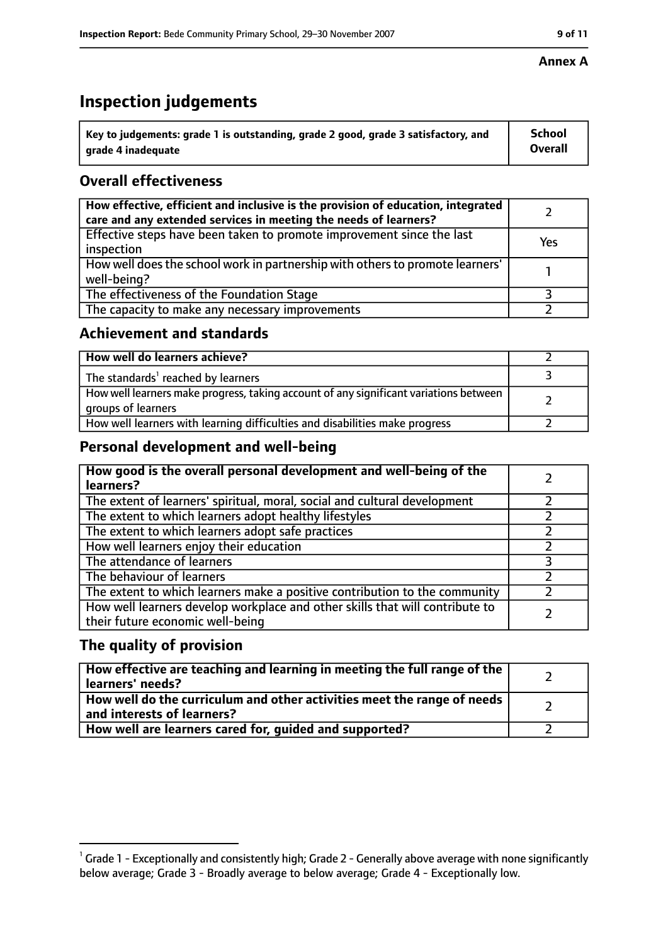# **Inspection judgements**

| $\dot{~}$ Key to judgements: grade 1 is outstanding, grade 2 good, grade 3 satisfactory, and | <b>School</b>  |
|----------------------------------------------------------------------------------------------|----------------|
| arade 4 inadequate                                                                           | <b>Overall</b> |

## **Overall effectiveness**

| How effective, efficient and inclusive is the provision of education, integrated<br>care and any extended services in meeting the needs of learners? |     |
|------------------------------------------------------------------------------------------------------------------------------------------------------|-----|
| Effective steps have been taken to promote improvement since the last<br>inspection                                                                  | Yes |
| How well does the school work in partnership with others to promote learners'<br>well-being?                                                         |     |
| The effectiveness of the Foundation Stage                                                                                                            |     |
| The capacity to make any necessary improvements                                                                                                      |     |

## **Achievement and standards**

| How well do learners achieve?                                                                               |  |
|-------------------------------------------------------------------------------------------------------------|--|
| The standards <sup>1</sup> reached by learners                                                              |  |
| How well learners make progress, taking account of any significant variations between<br>groups of learners |  |
| How well learners with learning difficulties and disabilities make progress                                 |  |

# **Personal development and well-being**

| How good is the overall personal development and well-being of the<br>learners?                                  |  |
|------------------------------------------------------------------------------------------------------------------|--|
| The extent of learners' spiritual, moral, social and cultural development                                        |  |
| The extent to which learners adopt healthy lifestyles                                                            |  |
| The extent to which learners adopt safe practices                                                                |  |
| How well learners enjoy their education                                                                          |  |
| The attendance of learners                                                                                       |  |
| The behaviour of learners                                                                                        |  |
| The extent to which learners make a positive contribution to the community                                       |  |
| How well learners develop workplace and other skills that will contribute to<br>their future economic well-being |  |

# **The quality of provision**

| How effective are teaching and learning in meeting the full range of the<br>learners' needs?          |  |
|-------------------------------------------------------------------------------------------------------|--|
| How well do the curriculum and other activities meet the range of needs<br>and interests of learners? |  |
| How well are learners cared for, guided and supported?                                                |  |

#### **Annex A**

 $^1$  Grade 1 - Exceptionally and consistently high; Grade 2 - Generally above average with none significantly below average; Grade 3 - Broadly average to below average; Grade 4 - Exceptionally low.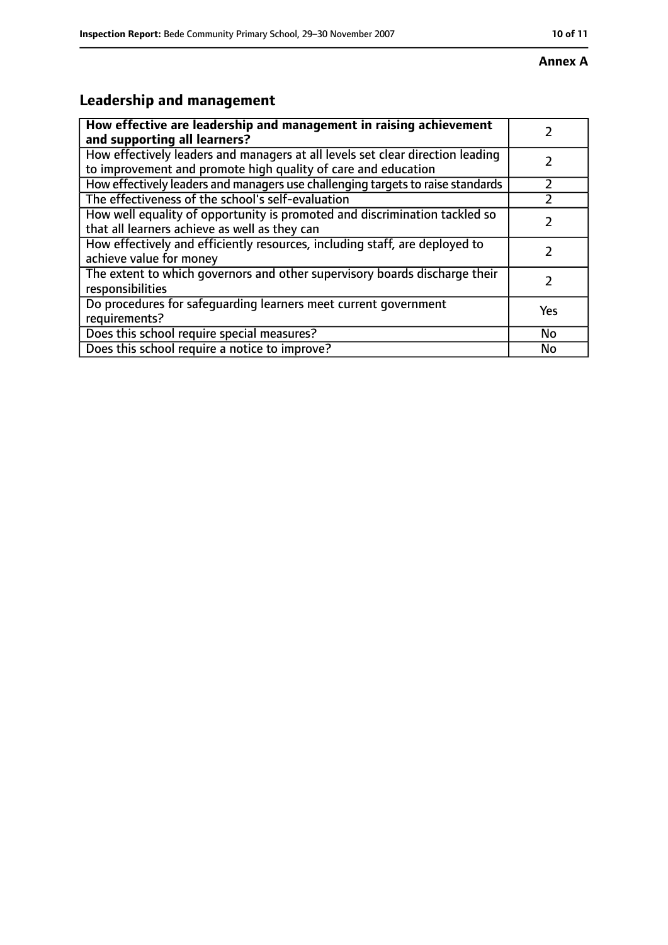#### **Annex A**

# **Leadership and management**

| How effective are leadership and management in raising achievement<br>and supporting all learners?                                              |     |
|-------------------------------------------------------------------------------------------------------------------------------------------------|-----|
| How effectively leaders and managers at all levels set clear direction leading<br>to improvement and promote high quality of care and education |     |
| How effectively leaders and managers use challenging targets to raise standards                                                                 |     |
| The effectiveness of the school's self-evaluation                                                                                               |     |
| How well equality of opportunity is promoted and discrimination tackled so<br>that all learners achieve as well as they can                     |     |
| How effectively and efficiently resources, including staff, are deployed to<br>achieve value for money                                          |     |
| The extent to which governors and other supervisory boards discharge their<br>responsibilities                                                  |     |
| Do procedures for safequarding learners meet current government<br>requirements?                                                                | Yes |
| Does this school require special measures?                                                                                                      | No  |
| Does this school require a notice to improve?                                                                                                   | No  |